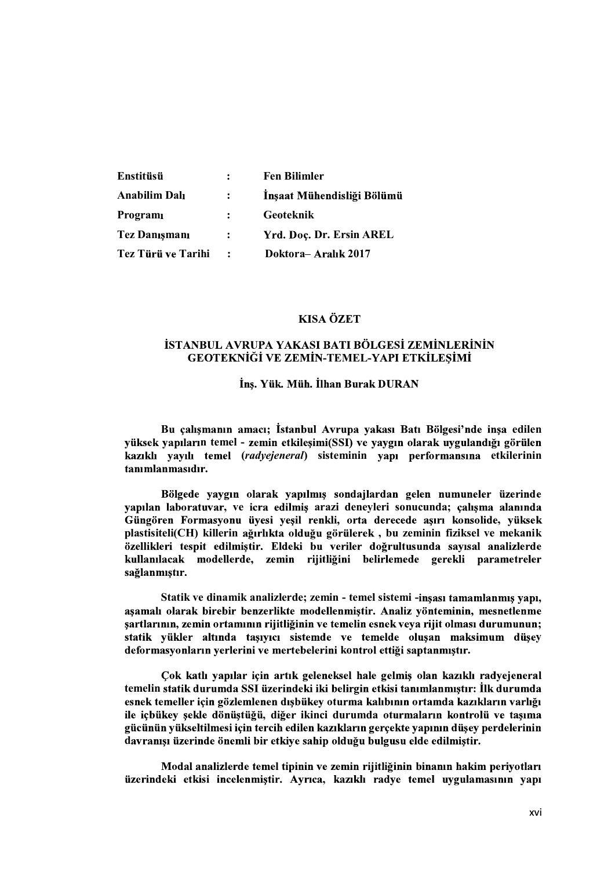| Enstitüsü            | $\ddot{\cdot}$ | <b>Fen Bilimler</b>        |
|----------------------|----------------|----------------------------|
| <b>Anabilim Dalı</b> | $\mathbf{L}$   | İnşaat Mühendisliği Bölümü |
| Programi             | $\mathbf{r}$   | Geoteknik                  |
| <b>Tez Danismani</b> | $\mathbf{L}$   | Yrd. Doc. Dr. Ersin AREL   |
| Tez Türü ve Tarihi   | $\ddot{\cdot}$ | Doktora-Aralık 2017        |

## **KISA ÖZET**

## İSTANBUL AVRUPA YAKASI BATI BÖLGESİ ZEMİNLERİNİN GEOTEKNİĞİ VE ZEMİN-TEMEL-YAPI ETKİLEŞİMİ

## Ins. Yük. Müh. İlhan Burak DURAN

Bu çalışmanın amacı; İstanbul Avrupa yakası Batı Bölgesi'nde inşa edilen yüksek yapıların temel - zemin etkileşimi(SSI) ve yaygın olarak uygulandığı görülen kazıklı yayılı temel (radyejeneral) sisteminin yapı performansına etkilerinin .

Bölgede yaygın olarak yapılmış sondajlardan gelen numuneler üzerinde vapılan laboratuvar, ve icra edilmis arazi denevleri sonucunda; calısma alanında Güngören Formasyonu üyesi yeşil renkli, orta derecede aşırı konsolide, yüksek<br>plastisiteli(CH) killerin ağırlıkta olduğu görülerek , bu zeminin fiziksel ve mekanik özellikleri tespit edilmiştir. Eldeki bu veriler doğrultusunda sayısal analizlerde kullanılacak modellerde, zemin rijitliğini belirlemede gerekli parametreler sağlanmıştır.

Statik ve dinamik analizlerde; zemin - temel sistemi asamalı olarak birebir benzerlikte modellenmistir. Analiz yönteminin, mesnetlenme ; y

deformasyonların yerlerini ve mertebelerini kontrol ettiği saptanmıştır.<br>Cok katlı yapılar için artık geleneksel hale gelmiş olan kazıklı radyejeneral<br>temelin statik durumda SSI üzerindeki iki belirgin etkisi tanımlanmıştı esnek temeller için gözlemlenen dışbükey oturma kalıbının ortamda kazıkların varlığı ile içbükey şekle dönüştüğü, diğer ikinci durumda oturmaların kontrolü ve taşıma gücünün yükseltilmesi için tercih edilen kazıkların gerçekte yapının düşey perdelerinin davranısı üzerinde önemli bir etkiye sahip olduğu bulgusu elde edilmiştir.

Modal analizlerde temel tipinin ve zemin rijitliğinin binanın hakim periyotları üzerindeki etkisi incelenmiştir. Ayrıca, kazıklı radye temel uygulamasının yapı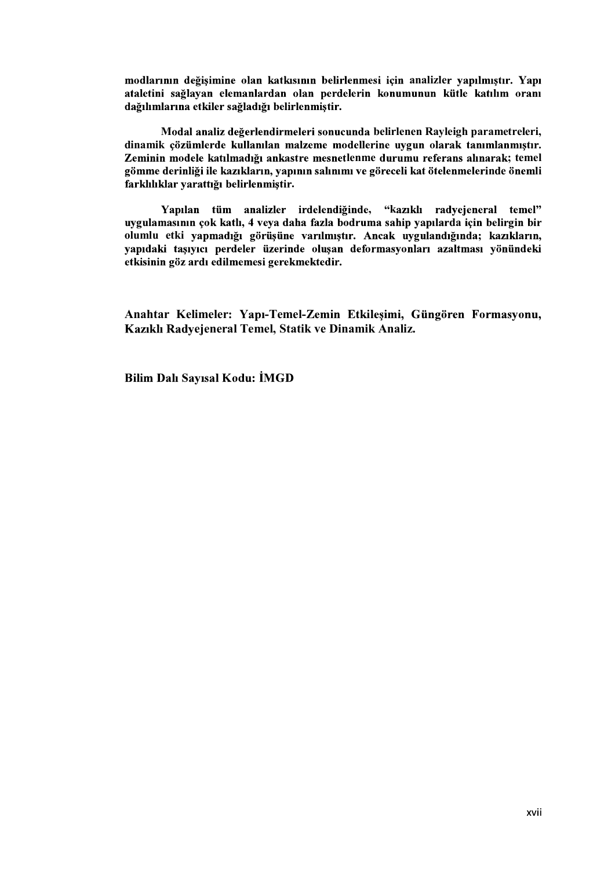modlarının değişimine olan katkısının belirlenmesi için analizler yapılmıştır. Yapı ataletini sağlayan elemanlardan olan perdelerin konumunun kütle katılım oranı dağılımlarına etkiler sağladığı belirlenmiştir.

Modal analiz değerlendirmeleri sonucunda belirlenen Rayleigh parametreleri, dinamik çözümlerde kullanılan malzeme modellerine uygun olarak tanımlanmıştır. Zeminin modele katılmadığı ankastre mesnetlenme durumu referans alınarak; temel gömme derinliği ile kazıkların, yapının salınımı ve göreceli kat ötelenmelerinde önemli .

Yapılan tüm analizler irdelendiğinde, "kazıklı radyejeneral temel" uvgulamasının çok katlı, 4 veya daha fazla bodruma sahip yapılarda için belirgin bir olumlu etki yapmadığı görüşüne varılmıştır. Ancak uygulandığında; kazıkların,<br>vapıdaki tasıvıcı perdeler üzerinde olusan deformasyonları azaltması vönündeki etkisinin göz ardı edilmemesi gerekmektedir.

Anahtar Kelimeler: Yapı-Temel-Zemin Etkileşimi, Güngören Formasyonu, Kazıklı Radyejeneral Temel, Statik ve Dinamik Analiz.

**Bilim Dalı Sayısal Kodu: İMGD**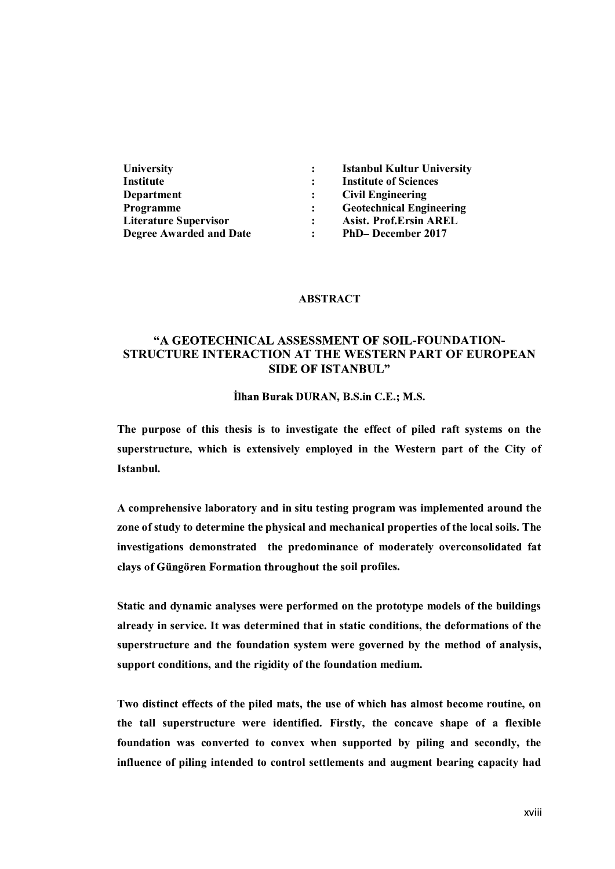| <b>University</b>              | <b>Istanbul Kultur University</b> |
|--------------------------------|-----------------------------------|
| Institute                      | <b>Institute of Sciences</b>      |
| <b>Department</b>              | <b>Civil Engineering</b>          |
| Programme                      | <b>Geotechnical Engineering</b>   |
| <b>Literature Supervisor</b>   | <b>Asist. Prof.Ersin AREL</b>     |
| <b>Degree Awarded and Date</b> | <b>PhD-December 2017</b>          |

#### ABSTRACT

# "A GEOTECHNICAL ASSESSMENT OF SOIL-FOUNDATION-STRUCTURE INTERACTION AT THE WESTERN PART OF EUROPEAN **SIDE OF ISTANBUL"**

İlhan Burak DURAN, B.S.in C.E.; M.S.

The purpose of this thesis is to investigate the effect of piled raft systems on the superstructure, which is extensively employed in the Western part of the City of Istanbul.

A comprehensive laboratory and in situ testing program was implemented around the zone of study to determine the physical and mechanical properties of the local soils. The investigations demonstrated the predominance of moderately overconsolidated fat clays of Güngören Formation throughout the soil profiles.

Static and dynamic analyses were performed on the prototype models of the buildings already in service. It was determined that in static conditions, the deformations of the superstructure and the foundation system were governed by the method of analysis, support conditions, and the rigidity of the foundation medium.

Two distinct effects of the piled mats, the use of which has almost become routine, on the tall superstructure were identified. Firstly, the concave shape of a flexible foundation was converted to convex when supported by piling and secondly, the influence of piling intended to control settlements and augment bearing capacity had